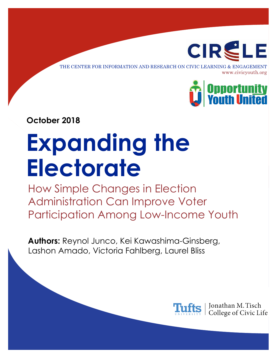

THE CENTER FOR INFORMATION AND RESEARCH ON CIVIC LEARNING & ENGAGEMENT www.civicyouth.org



**October 2018**

# **Expanding the Electorate**

How Simple Changes in Election Administration Can Improve Voter Participation Among Low-Income Youth

**Authors:** Reynol Junco, Kei Kawashima-Ginsberg, Lashon Amado, Victoria Fahlberg, Laurel Bliss



Jonathan M. Tisch College of Civic Life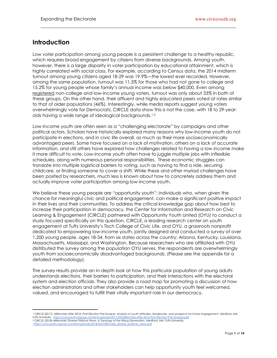## **Introduction**

Low voter participation among young people is a persistent challenge to a healthy republic, which requires broad engagement by citizens from diverse backgrounds. Among youth, however, there is a large disparity in voter participation by educational attainment, which is highly correlated with social class. For example, according to Census data, the 2014 midterm turnout among young citizens aged 18-29 was 19.9%—the lowest ever recorded. However, among the same population, turnout was 11.5% for those who had not gone to college and 15.2% for young people whose family's annual income was below \$40,000. Even among registered non-college and low-income young voters, turnout was only about 33% in both of these groups. On the other hand, their affluent and highly educated peers voted at rates similar to that of older populations (46%). Interestingly, while media reports suggest young voters overwhelmingly vote for Democrats, CIRCLE data show this is not the case, with 18 to 29-yearolds having a wide range of ideological backgrounds. 1,2

Low-income youth are often seen as a "challenging electorate" by campaigns and other political actors. Scholars have historically explored many reasons why low-income youth do not participate in elections, and in civic life overall, as much as their more socioeconomically advantaged peers. Some have focused on a lack of motivation, others on a lack of accurate information, and still others have explored how challenges related to having a low income make it more difficult to vote. Low-income youth often have to juggle multiple jobs with inflexible schedules, along with numerous personal responsibilities. These economic struggles can translate into multiple logistical barriers to voting, such as having to find a ride, securing childcare, or finding someone to cover a shift. While these and other myriad challenges have been posited by researchers, much less is known about how to concretely address them and actually improve voter participation among low-income youth.

We believe these young people are "opportunity youth": individuals who, when given the chance for meaningful civic and political engagement, can make a significant positive impact in their lives and their communities. To address the critical knowledge gap about how best to increase their participation in democracy, the Center for Information and Research on Civic Learning & Engagement (CIRCLE) partnered with Opportunity Youth United (OYU) to conduct a study focused specifically on this question. CIRCLE, a leading research center on youth engagement at Tufts University's Tisch College of Civic Life, and OYU, a grassroots nonprofit dedicated to empowering low-income youth, jointly designed and conducted a survey of over 1,200 young people, ages 18-34, from six states across the country: Arizona, Kentucky, Louisiana, Massachusetts, Mississippi, and Washington. Because researchers who are affiliated with OYU distributed the survey among the population OYU serves, the respondents are overwhelmingly youth from socioeconomically disadvantaged backgrounds. (Please see the appendix for a detailed methodology).

The survey results provide an in-depth look at how this particular population of young adults understands elections, their barriers to participation, and their interactions with the electoral system and election officials. They also provide a road map for promoting a discussion of how election administrators and other stakeholders can help opportunity youth feel welcomed, valued, and encouraged to fulfill their vitally important role in our democracy.

 $\overline{a}$ 

<sup>&</sup>lt;sup>1</sup> CIRCLE (2017). Millennials After 2016: Post-Election Poll Analysis. Analysis of youth attitudes, tendencies, and prospects for future engagement. Medford, MA:<br>Tufts University. https://civicyouth.ora/wp-content/uploads Tufts University.<https://civicyouth.org/wp-content/uploads/2017/03/Millennials-after-2016-Post-Election-Poll-Analysis.pdf> <sup>2</sup> CIRCLE (2018) *Millennials' Diverse Political Views: A Typology of the Rising Generation*. Medford, MA: Tufts University.

https://civicyouth.org/wp-content/uploads/2018/02/millennials\_diverse\_political\_view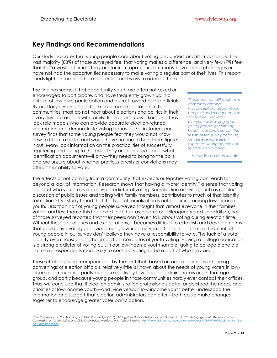## **Key Findings and Recommendations**

Our study indicates that young people care about voting and understand its importance. The vast majority (88%) of those surveyed feel that voting makes a difference, and very few (7%) feel that it's "a waste of time." They are far from apathetic, but many have faced challenges or have not had the opportunities necessary to make voting a regular part of their lives. This report sheds light on some of those obstacles, and ways to address them.

The findings suggest that opportunity youth are often not asked or encouraged to participate, and have frequently grown up in a culture of low civic participation and distrust toward public officials. By and large, voting is neither a habit nor expectation in their communities; most do not hear about elections and politics in their everyday interactions with family, friends, and coworkers; and they lack role models who can provide accurate election-related information and demonstrate voting behavior. For instance, our survey finds that some young people fear they would not know how to fill out a ballot and would have no one to help them figure it out. Many lack information on the practicalities of successfully registering and going to the polls. They are confused about what identification documents—if any—they need to bring to the polls, and are unsure about whether previous arrests or convictions may affect their ability to vote.

*"I learned that, although I am constantly battling misconceptions about young people, I had misconceptions of my own. I let what everyone was saying about young people get into my head. I was surprised with the results of the survey because, just like everyone else, I expected young people not to care about voting."*

—Survey Research Associate

The effects of not coming from a community that expects or teaches voting can reach far beyond a lack of information. Research shows that having a "voter identity," a sense that voting is part of who you are, is a positive predictor of voting. Socialization activities, such as regular discussion of public issues and voting with family members, contributes to much of that identity formation. <sup>3</sup> Our study found that this type of socialization is not occurring among low-income youth. Less than half of young people surveyed thought that almost everyone in their families voted, and less than a third believed that their associates or colleagues voted. In addition, half of those surveyed reported that their peers don't even talk about voting during election time. Without these social cues and expectations, it becomes difficult to establish and develop norms that could drive voting behavior among low-income youth. Case in point: more than half of young people in our survey don't believe they have a responsibility to vote. The lack of a voter identity even transcends other important correlates of youth voting. Having a college education is a strong predictor of voting but, in our low-income youth sample, going to college alone did not make respondents more likely to consider voting to be a part of who they are.

These challenges are compounded by the fact that, based on our experiences attending convenings of election officials, relatively little is known about the needs of young voters in lowincome communities; partly because relatively few election administrators are in that age group, and partly because young people in those communities hardly ever contact their offices. Thus, we conclude that if election administration professionals better understood the needs and priorities of low-income youth—and, vice versa, if low-income youth better understood the information and support that election administrators can offer—both could make changes together to encourage greater voter participation.

 $\overline{a}$ <sup>3</sup> The Commission on Youth Voting and Civic Knowledge (2013). *All Together Now: Collaboration and Innovation for Youth Engagement. The report of the*  Commission on Youth Voting and Civic Knowledge. Medford, MA: Tufts University[. http://www.civicyouth.org/wp-content/uploads/2013/09/CIRCLE-youthvoting](http://www.civicyouth.org/wp-content/uploads/2013/09/CIRCLE-youthvoting-individualPages.pdf)[individualPages.pdf](http://www.civicyouth.org/wp-content/uploads/2013/09/CIRCLE-youthvoting-individualPages.pdf)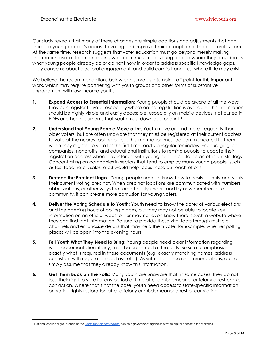Our study reveals that many of these changes are simple additions and adjustments that can increase young people's access to voting and improve their perception of the electoral system. At the same time, research suggests that voter education must go beyond merely making information available on an existing website: it must meet young people where they are, identify what young people already do or do not know in order to address specific knowledge gaps, allay concerns about electoral engagement, and build comfort and trust where little may exist.

We believe the recommendations below can serve as a jumping-off point for this important work, which may require partnering with youth groups and other forms of substantive engagement with low-income youth:

- **1. Expand Access to Essential Information**: Young people should be aware of all the ways they can register to vote, especially where online registration is available. This information should be highly visible and easily accessible, especially on mobile devices, not buried in PDFs or other documents that youth must download or print.<sup>4</sup>
- **2. Understand that Young People Move a Lot**: Youth move around more frequently than older voters, but are often unaware that they must be registered at their current address to vote at the nearest polling place. This information must be communicated to them when they register to vote for the first time, and via regular reminders. Encouraging local companies, nonprofits, and educational institutions to remind people to update their registration address when they interact with young people could be an efficient strategy. Concentrating on companies in sectors that tend to employ many young people (such as fast food, retail, sales, etc.) would help focus these outreach efforts.
- **3. Decode the Precinct Lingo**: Young people need to know how to easily identify and verify their current voting precinct. When precinct locations are communicated with numbers, abbreviations, or other ways that aren't easily understood by new members of a community, it can create more confusion for young voters.
- **4. Deliver the Voting Schedule to Youth**: Youth need to know the dates of various elections and the opening hours of polling places, but they may not be able to locate key information on an official website—or may not even know there is such a website where they can find that information. Be sure to provide these vital facts through multiple channels and emphasize details that may help them vote; for example, whether polling places will be open into the evening hours.
- **5. Tell Youth What They Need to Bring:** Young people need clear information regarding what documentation, if any, must be presented at the polls. Be sure to emphasize exactly what is required in these documents (e.g. exactly matching names, address consistent with registration address, etc.). As with all of these recommendations, do not simply assume that they already know this information.
- **6. Get Them Back on The Rolls**: Many youth are unaware that, in some cases, they do not lose their right to vote for any period of time after a misdemeanor or felony arrest and/or conviction. Where that's not the case, youth need access to state-specific information on voting rights restoration after a felony or misdemeanor arrest or conviction.

 $\overline{a}$ 

<sup>4</sup> National and local groups such as the *[Code for America Brigade](https://brigade.codeforamerica.org/)* can help government agencies provide digital access to their services.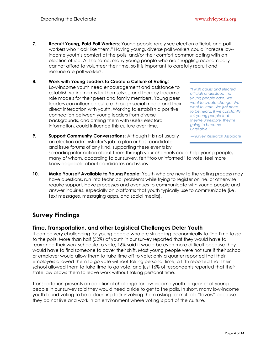- **7. Recruit Young, Paid Poll Workers**: Young people rarely see election officials and poll workers who "look like them." Having young, diverse poll workers could increase lowincome youth's comfort at the polls, and/or their comfort communicating with an election office. At the same, many young people who are struggling economically cannot afford to volunteer their time, so it is important to carefully recruit and remunerate poll workers.
- **8. Work with Young Leaders to Create a Culture of Voting**: Low-income youth need encouragement and assistance to establish voting norms for themselves, and thereby become role models for their peers and family members. Young peer leaders can influence culture through social media and their direct interaction with youth. Working to establish a positive connection between young leaders from diverse backgrounds, and arming them with useful electoral information, could influence this culture over time.

*"I wish adults and elected officials understood that young people care. We want to create change. We want to learn. We just need to be heard. If we constantly tell young people that they're unreliable, they're going to become unreliable."*

—Survey Research Associate

- **9. Support Community Conversations**: Although it is not usually an election administrator's job to plan or host candidate and issue forums of any kind, supporting these events by spreading information about them through your channels could help young people, many of whom, according to our survey, felt "too uninformed" to vote, feel more knowledgeable about candidates and issues.
- **10. Make Yourself Available to Young People:** Youth who are new to the voting process may have questions, run into technical problems while trying to register online, or otherwise require support. Have processes and avenues to communicate with young people and answer inquiries, especially on platforms that youth typically use to communicate (i.e. text messages, messaging apps, and social media).

## **Survey Findings**

#### **Time, Transportation, and other Logistical Challenges Deter Youth**

It can be very challenging for young people who are struggling economically to find time to go to the polls. More than half (52%) of youth in our survey reported that they would have to rearrange their work schedule to vote; 16% said it would be even more difficult because they would have to find someone to cover their shift. Most young people were not sure if their school or employer would allow them to take time off to vote: only a quarter reported that their employers allowed them to go vote without taking personal time, a fifth reported that their school allowed them to take time to go vote, and just 16% of respondents reported that their state law allows them to leave work without taking personal time.

Transportation presents an additional challenge for low-income youth: a quarter of young people in our survey said they would need a ride to get to the polls. In short, many low-income youth found voting to be a daunting task involving them asking for multiple "favors" because they do not live and work in an environment where voting is part of the culture.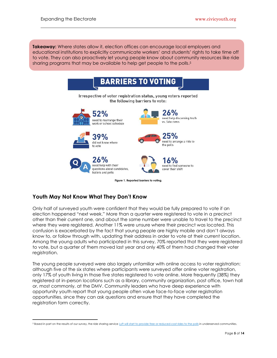**Takeaway:** Where states allow it, election offices can encourage local employers and educational institutions to explicitly communicate workers' and students' rights to take time off to vote. They can also proactively let young people know about community resources like ride sharing programs that may be available to help get people to the polls. 5



### **Youth May Not Know What They Don't Know**

Only half of surveyed youth were confident that they would be fully prepared to vote if an election happened "next week." More than a quarter were registered to vote in a precinct other than their current one, and about the same number were unable to travel to the precinct where they were registered. Another 11% were unsure where their precinct was located. This confusion is exacerbated by the fact that young people are highly mobile and don't always know to, or follow through with, updating their address in order to vote at their current location. Among the young adults who participated in this survey, 70% reported that they were registered to vote, but a quarter of them moved last year and only 40% of them had changed their voter registration.

The young people surveyed were also largely unfamiliar with online access to voter registration: although five of the six states where participants were surveyed offer online voter registration, only 17% of youth living in those five states registered to vote online. More frequently (38%) they registered at in-person locations such as a library, community organization, post office, town hall or, most commonly, at the DMV. Community leaders who have deep experience with opportunity youth report that young people often value face-to-face voter registration opportunities, since they can ask questions and ensure that they have completed the registration form correctly.

 $\overline{a}$ 5 Based in part on the results of our survey, the ride sharing servic[e Lyft will start to provide free or reduced-cost rides to the polls](https://blog.lyft.com/posts/2018/8/22/get-out-the-vote) in underserved communities.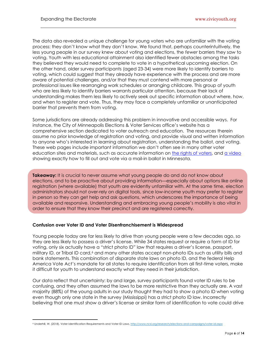The data also revealed a unique challenge for young voters who are unfamiliar with the voting process: they don't know what they don't know. We found that, perhaps counterintuitively, the less young people in our survey knew about voting and elections, the *fewer* barriers they saw to voting. Youth with less educational attainment also identified fewer obstacles among the tasks they believed they would need to complete to vote in a hypothetical upcoming election. On the other hand, older survey participants (aged 23-34) were more likely to identify barriers to voting, which could suggest that they already have experience with the process and are more aware of potential challenges, and/or that they must contend with more personal or professional issues like rearranging work schedules or arranging childcare. This group of youth who are less likely to identify barriers warrants particular attention, because their lack of understanding makes them less likely to actively seek out specific information about where, how, and when to register and vote. Thus, they may face a completely unfamiliar or unanticipated barrier that prevents them from voting.

Some jurisdictions are already addressing this problem in innovative and accessible ways. For instance, the City of Minneapolis Elections & Voter Services office's website has a comprehensive section dedicated to voter outreach and education. The resources therein assume no prior knowledge of registration and voting, and provide visual and written information to anyone who's interested in learning about registration, understanding the ballot, and voting. These web pages include important information we don't often see in many other voter education sites and materials, such as accurate information on [the rights of voters,](http://vote.minneapolismn.gov/outreach/WCMSP-184173) and [a video](https://youtu.be/n2HfWIGhoQQ) showing exactly how to fill out and vote via a mail-in ballot in Minnesota.

**Takeaway:** It is crucial to never assume what young people do and do not know about elections, and to be proactive about providing information—especially about options like online registration (where available) that youth are evidently unfamiliar with. At the same time, election administrators should not over-rely on digital tools, since low-income youth may prefer to register in person so they can get help and ask questions, which underscores the importance of being available and responsive. Understanding and embracing young people's mobility is also vital in order to ensure that they know their precinct and are registered correctly.

#### **Confusion over Voter ID and Voter Disenfranchisement is Widespread**

Young people today are far less likely to drive than young people were a few decades ago, so they are less likely to possess a driver's license. While 34 states request or require a form of ID for voting, only six actually have a "strict photo ID" law that requires a driver's license, passport, military ID, or Tribal ID card, <sup>6</sup> and many other states accept non-photo IDs such as utility bills and bank statements. This combination of disparate state laws on photo ID, and the federal Help America Vote Act's mandate for all states to require identification from all first-time voters, make it difficult for youth to understand exactly what they need in their jurisdiction.

Our data reflect that uncertainty: by and large, survey participants found voter ID rules to be confusing, and they often assumed the laws to be more restrictive than they actually are. A vast majority (88%) of the young adults in our study thought they had to show a photo ID when voting even though only one state in the survey (Mississippi) has a strict photo ID law. Incorrectly believing that one must show a driver's license or similar form of identification to vote could drive

 $\overline{a}$ 6 Underhill, W. (2018). Voter Identification Requirements and Voter ID Laws. http://www.ncsl.org/research/elections-and-campaigns/voter-id.aspx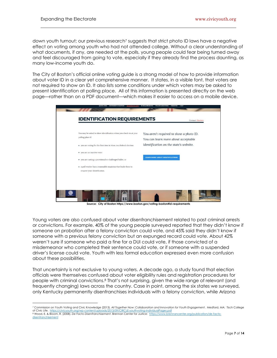$\overline{a}$ 

down youth turnout; our previous research<sup>7</sup> suggests that strict photo ID laws have a negative effect on voting among youth who had not attended college. Without a clear understanding of what documents, if any, are needed at the polls, young people could fear being turned away and feel discouraged from going to vote, especially if they already find the process daunting, as many low-income youth do.

The City of Boston's official online voting guide is a strong model of how to provide information about voter ID in a clear yet comprehensive manner. It states, in a visible font, that voters are not required to show an ID. It also lists some conditions under which voters may be asked to present identification at polling place. All of this information is presented directly on the web page—rather than on a PDF document—which makes it easier to access on a mobile device.

| You may be asked to show identification when you check-in at your  | You aren't required to show a photo ID. |
|--------------------------------------------------------------------|-----------------------------------------|
| polling place if:                                                  | You can learn more about acceptable     |
| • you are voting for the first time in Mass. in a federal election | identification on the state's website.  |
| ▶ you are an inactive voter                                        |                                         |
| • you are casting a provisional or challenged ballot, or           | <b>LEARN MORE ABOUT IDENTIFICATIONS</b> |
| • a poll worker has a reasonable suspicion that leads them to      |                                         |
| request your identification.                                       |                                         |

**Source: City of Boston https://www.boston.gov/voting-boston#id-requirements**

Young voters are also confused about voter disenfranchisement related to past criminal arrests or convictions. For example, 40% of the young people surveyed reported that they didn't know if someone on probation after a felony conviction could vote, and 45% said they didn't know if someone with a previous felony conviction but an expunged record could vote. About 42% weren't sure if someone who paid a fine for a DUI could vote, if those convicted of a misdemeanor who completed their sentence could vote, or if someone with a suspended driver's license could vote. Youth with less formal education expressed even more confusion about these possibilities.

That uncertainty is not exclusive to young voters. A decade ago, a study found that election officials were themselves confused about voter eligibility rules and registration procedures for people with criminal convictions. <sup>8</sup> That's not surprising, given the wide range of relevant (and frequently changing) laws across the country. Case in point, among the six states we surveyed, only Kentucky permanently disenfranchises individuals with a felony conviction, while Arizona

<sup>7</sup> Commission on Youth Voting and Civic Knowledge (2013). *All Together Now*: *Collaboration and Innovation for Youth Engagement*. Medford, MA: Tisch College of Civic Life. https://civicyouth.org/wp-content/uploads/2013/09/CIRCLE-youthvoting-individualPages.pdf <sup>8</sup> Wood, E. & Bloom, R. (2008). *De Facto Disenfranchisement*. Brennan Center for Justice: [https://www.brennancenter.org/publication/de-facto](https://www.brennancenter.org/publication/de-facto-disenfranchisement)[disenfranchisement](https://www.brennancenter.org/publication/de-facto-disenfranchisement)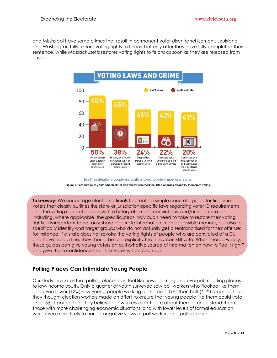and Mississippi have some crimes that result in permanent voter disenfranchisement. Louisiana and Washington fully restore voting rights to felons, but only after they have fully completed their sentence, while Massachusetts restores voting rights to felons as soon as they are released from prison.



In all five situations, people are legally allowed to vote in most or all states. **Figure 2. Percentage of youth who think (or don't know whether) the listed offenses disqualify them from voting.**

**Takeaway:** We encourage election officials to create a simple concrete guide for first-time voters that clearly outlines the state or jurisdiction-specific laws regarding voter ID requirements and the voting rights of people with a history of arrests, convictions, and/or incarceration including, where applicable, the specific steps individuals need to take to restore their voting rights. It is important to not only share accurate information in an accessible manner, but also to specifically identify and target groups who do not actually get disenfranchised for their offense; for instance, if a state does not revoke the voting rights of people who are convicted of a DUI and have paid a fine, they should be told explicitly that they can still vote. When shared widely, these guides can give young voters an authoritative source of information on how to "do it right" and give them confidence that their votes will be counted.

#### **Polling Places Can Intimidate Young People**

Our study indicates that polling places can feel like unwelcoming and even intimidating places to low-income youth. Only a quarter of youth surveyed saw poll workers who "looked like them," and even fewer (13%) saw young people working at the polls. Less than half (41%) reported that they thought election workers made an effort to ensure that young people like them could vote, and 15% reported that they believe poll workers didn't care about them or understand them. Those with more challenging economic situations, and with lower levels of formal education, were even more likely to harbor negative views of poll workers and polling places.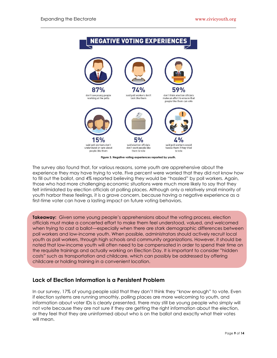

**Figure 3. Negative voting experiences reported by youth.**

The survey also found that, for various reasons, some youth are apprehensive about the experience they may have trying to vote. Five percent were worried that they did not know how to fill out the ballot, and 4% reported believing they would be "hassled" by poll workers. Again, those who had more challenging economic situations were much more likely to say that they felt intimidated by election officials at polling places. Although only a relatively small minority of youth harbor these feelings, it is a grave concern, because having a negative experience as a first-time voter can have a lasting impact on future voting behaviors.

**Takeaway:** Given some young people's apprehensions about the voting process, election officials must make a concerted effort to make them feel understood, valued, and welcomed when trying to cast a ballot—especially when there are stark demographic differences between poll workers and low-income youth. When possible, administrators should actively recruit local youth as poll workers, through high schools and community organizations. However, it should be noted that low-income youth will often need to be compensated in order to spend their time on the requisite trainings and actually working on Election Day. It is important to consider "hidden costs" such as transportation and childcare, which can possibly be addressed by offering childcare or holding training in a convenient location.

#### **Lack of Election Information is a Persistent Problem**

In our survey, 17% of young people said that they don't think they "know enough" to vote. Even if election systems are running smoothly, polling places are more welcoming to youth, and information about voter IDs is clearly presented, there may still be young people who simply will not vote because they are not sure if they are getting the right information about the election, or they feel that they are uninformed about who is on the ballot and exactly what their votes will mean.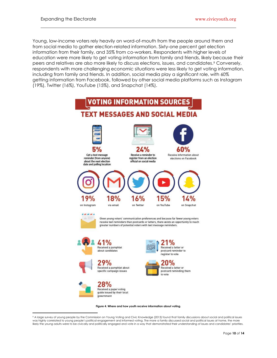$\overline{a}$ 

Young, low-income voters rely heavily on word-of-mouth from the people around them and from social media to gather election-related information. Sixty-one percent get election information from their family, and 35% from co-workers. Respondents with higher levels of education were more likely to get voting information from family and friends, likely because their peers and relatives are also more likely to discuss elections, issues, and candidates. <sup>9</sup> Conversely, respondents with more challenging economic situations were less likely to get voting information, including from family and friends. In addition, social media play a significant role, with 60% getting information from Facebook, followed by other social media platforms such as Instagram (19%), Twitter (16%), YouTube (15%), and Snapchat (14%).



**Figure 4. Where and how youth receive information about voting.** 

<sup>9</sup> A large survey of young people by the Commission on Young Voting and Civic Knowledge (2013) found that family discussions about social and political issues was highly correlated to young people's political engagement and informed voting. The more a family discussed social and political issues at home, the more likely the young adults were to be civically and politically engaged and vote in a way that demonstrated their understanding of issues and candidates' priorities.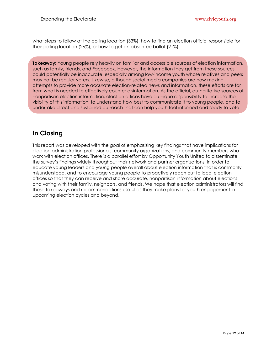**Takeaway:** Young people rely heavily on familiar and accessible sources of election information, such as family, friends, and Facebook. However, the information they get from these sources could potentially be inaccurate, especially among low-income youth whose relatives and peers may not be regular voters. Likewise, although social media companies are now making attempts to provide more accurate election-related news and information, these efforts are far from what is needed to effectively counter disinformation. As the official, authoritative sources of nonpartisan election information, election offices have a unique responsibility to increase the visibility of this information, to understand how best to communicate it to young people, and to undertake direct and sustained outreach that can help youth feel informed and ready to vote.

## **In Closing**

This report was developed with the goal of emphasizing key findings that have implications for election administration professionals, community organizations, and community members who work with election offices. There is a parallel effort by Opportunity Youth United to disseminate the survey's findings widely throughout their network and partner organizations, in order to educate young leaders and young people overall about election information that is commonly misunderstood, and to encourage young people to proactively reach out to local election offices so that they can receive and share accurate, nonpartisan information about elections and voting with their family, neighbors, and friends. We hope that election administrators will find these takeaways and recommendations useful as they make plans for youth engagement in upcoming election cycles and beyond.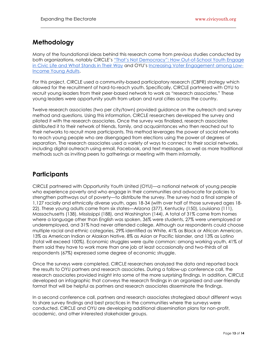## **Methodology**

Many of the foundational ideas behind this research come from previous studies conducted by both organizations, notably CIRCLE's "That's Not Democracy": [How Out-of-School Youth Engage](https://civicyouth.org/thats-not-democracy-how-out-of-school-youth-engage-in-civic-life-and-what-stands-in-their-way/)  [in Civic Life and What Stands in Their Way](https://civicyouth.org/thats-not-democracy-how-out-of-school-youth-engage-in-civic-life-and-what-stands-in-their-way/) and OYU's [Increasing Voter Engagement among Low-](http://www.lwvin.org/files/voter_engagement_white_paper_action_plan.pdf)[Income Young Adults.](http://www.lwvin.org/files/voter_engagement_white_paper_action_plan.pdf)

For this project, CIRCLE used a community-based participatory research (CBPR) strategy which allowed for the recruitment of hard-to-reach youth. Specifically, CIRCLE partnered with OYU to recruit young leaders from their peer-based network to work as "research associates." These young leaders were opportunity youth from urban and rural cities across the country.

Twelve research associates (two per city/town) provided guidance on the outreach and survey method and questions. Using this information, CIRCLE researchers developed the survey and piloted it with the research associates. Once the survey was finalized, research associates distributed it to their network of friends, family, and acquaintances who then reached out to their networks to recruit more participants. This method leverages the power of social networks to reach young people who are disengaged from elections using the power of degrees of separation. The research associates used a variety of ways to connect to their social networks, including digital outreach using email, Facebook, and text messages, as well as more traditional methods such as inviting peers to gatherings or meeting with them informally.

## **Participants**

CIRCLE partnered with Opportunity Youth United (OYU)—a national network of young people who experience poverty and who engage in their communities and advocate for policies to strengthen pathways out of poverty—to distribute the survey. The survey had a final sample of 1,127 racially and ethnically diverse youth, ages 18-34 (with over half of those surveyed ages 18- 22). These young adults came from six states—Arizona (377), Kentucky (150), Louisiana (111), Massachusetts (138), Mississippi (188), and Washington (144). A total of 31% came from homes where a language other than English was spoken, 36% were students, 27% were unemployed or underemployed, and 31% had never attended college. Although our respondents could choose multiple racial and ethnic categories, 29% identified as White, 41% as Black or African American, 13% as American Indian or Alaskan Native, 8% as Asian or Pacific Islander, and 13% as Latino (total will exceed 100%). Economic struggles were quite common: among working youth, 41% of them said they have to work more than one job at least occasionally and two-thirds of all respondents (67%) expressed some degree of economic struggle.

Once the surveys were completed, CIRCLE researchers analyzed the data and reported back the results to OYU partners and research associates. During a follow-up conference call, the research associates provided insight into some of the more surprising findings. In addition, CIRCLE developed an infographic that conveys the research findings in an organized and user-friendly format that will be helpful as partners and research associates disseminate the findings.

In a second conference call, partners and research associates strategized about different ways to share survey findings and best practices in the communities where the surveys were conducted. CIRCLE and OYU are developing additional dissemination plans for non-profit, academic, and other interested stakeholder groups.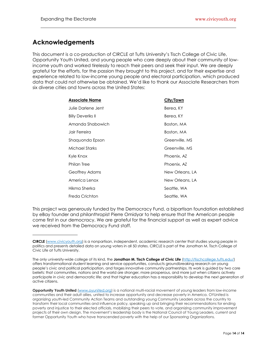## **Acknowledgements**

This document is a co-production of CIRCLE at Tufts University's Tisch College of Civic Life, Opportunity Youth United, and young people who care deeply about their community of lowincome youth and worked tirelessly to reach their peers and seek their input. We are deeply grateful for the efforts, for the passion they brought to this project, and for their expertise and experience related to low-income young people and electoral participation, which produced data that could not otherwise be obtained. We'd like to thank our Associate Researchers from six diverse cities and towns across the United States:

| Associate Name     | City/Town       |  |
|--------------------|-----------------|--|
| Julie Darlene Jent | Berea, KY       |  |
| Billy Deveriks II  | Berea, KY       |  |
| Amanda Shabowich   | Boston, MA      |  |
| Jair Ferreira      | Boston, MA      |  |
| Shaquonda Epson    | Greenville, MS  |  |
| Michael Starks     | Greenville, MS  |  |
| Kyle Knox          | Phoenix, AZ     |  |
| Philan Tree        | Phoenix, AZ     |  |
| Geoffrey Adams     | New Orleans, LA |  |
| America Lenox      | New Orleans, LA |  |
| Hikma Sherka       | Seattle, WA     |  |
| Freda Crichton     | Seattle, WA     |  |

This project was generously funded by the Democracy Fund, a bipartisan foundation established by eBay founder and philanthropist Pierre Omidyar to help ensure that the American people come first in our democracy. We are grateful for the financial support as well as expert advice we received from the Democracy Fund staff.

**CIRCLE** [\(www.civicyouth.org\)](file:///C:/Users/amedin02/Desktop/www.civicyouth.org) is a nonpartisan, independent, academic research center that studies young people in politics and presents detailed data on young voters in all 50 states. CIRCLE is part of the Jonathan M. Tisch College of Civic Life at Tufts University.

The only university-wide college of its kind, the **Jonathan M. Tisch College of Civic Life** [\(http://tischcollege.tufts.edu/\)](http://tischcollege.tufts.edu/) offers transformational student learning and service opportunities, conducts groundbreaking research on young people's civic and political participation, and forges innovative community partnerships. Its work is guided by two core beliefs: that communities, nations and the world are stronger, more prosperous, and more just when citizens actively participate in civic and democratic life; and that higher education has a responsibility to develop the next generation of active citizens.

**Opportunity Youth United** [\(www.oyunited.org\)](www.oyunited.org) is a national multi-racial movement of young leaders from low-income communities and their adult allies, united to increase opportunity and decrease poverty in America. OYUnited is organizing youth-led Community Action Teams and outstanding young Community Leaders across the country to transform their local communities and influence policy, speaking up and bringing their recommendations for ending poverty and injustice to their elected officials, mobilizing their peers to vote, and organizing community improvement projects of their own design. The movement's leadership body is the National Council of Young Leaders, current and former Opportunity Youth who have transcended poverty with the help of our Sponsoring Organizations.